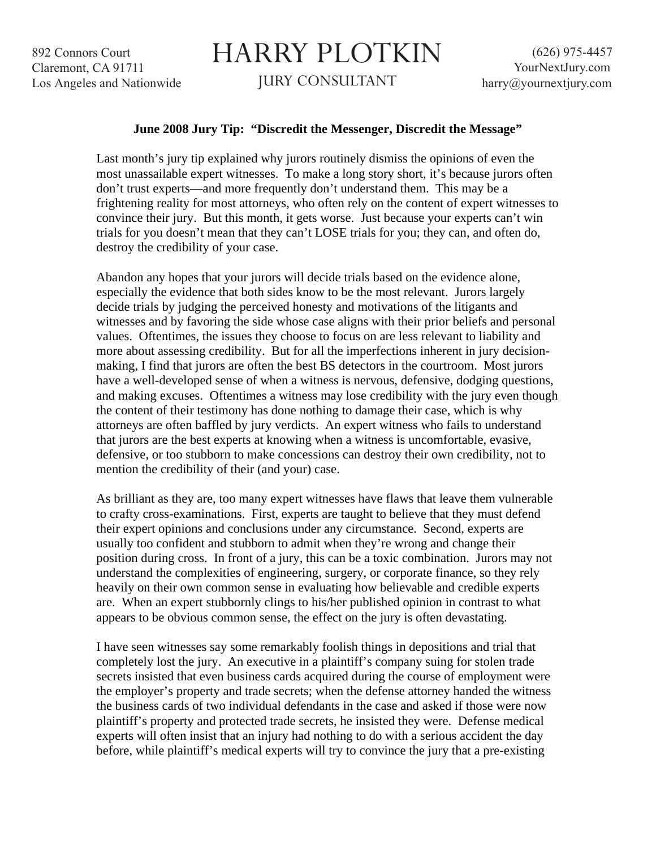892 Connors Court Claremont, CA 91711 Los Angeles and Nationwide

## HARRY PLOTKIN

JURY CONSULTANT

## **June 2008 Jury Tip: "Discredit the Messenger, Discredit the Message"**

Last month's jury tip explained why jurors routinely dismiss the opinions of even the most unassailable expert witnesses. To make a long story short, it's because jurors often don't trust experts—and more frequently don't understand them. This may be a frightening reality for most attorneys, who often rely on the content of expert witnesses to convince their jury. But this month, it gets worse. Just because your experts can't win trials for you doesn't mean that they can't LOSE trials for you; they can, and often do, destroy the credibility of your case.

Abandon any hopes that your jurors will decide trials based on the evidence alone, especially the evidence that both sides know to be the most relevant. Jurors largely decide trials by judging the perceived honesty and motivations of the litigants and witnesses and by favoring the side whose case aligns with their prior beliefs and personal values. Oftentimes, the issues they choose to focus on are less relevant to liability and more about assessing credibility. But for all the imperfections inherent in jury decisionmaking, I find that jurors are often the best BS detectors in the courtroom. Most jurors have a well-developed sense of when a witness is nervous, defensive, dodging questions, and making excuses. Oftentimes a witness may lose credibility with the jury even though the content of their testimony has done nothing to damage their case, which is why attorneys are often baffled by jury verdicts. An expert witness who fails to understand that jurors are the best experts at knowing when a witness is uncomfortable, evasive, defensive, or too stubborn to make concessions can destroy their own credibility, not to mention the credibility of their (and your) case.

As brilliant as they are, too many expert witnesses have flaws that leave them vulnerable to crafty cross-examinations. First, experts are taught to believe that they must defend their expert opinions and conclusions under any circumstance. Second, experts are usually too confident and stubborn to admit when they're wrong and change their position during cross. In front of a jury, this can be a toxic combination. Jurors may not understand the complexities of engineering, surgery, or corporate finance, so they rely heavily on their own common sense in evaluating how believable and credible experts are. When an expert stubbornly clings to his/her published opinion in contrast to what appears to be obvious common sense, the effect on the jury is often devastating.

I have seen witnesses say some remarkably foolish things in depositions and trial that completely lost the jury. An executive in a plaintiff's company suing for stolen trade secrets insisted that even business cards acquired during the course of employment were the employer's property and trade secrets; when the defense attorney handed the witness the business cards of two individual defendants in the case and asked if those were now plaintiff's property and protected trade secrets, he insisted they were. Defense medical experts will often insist that an injury had nothing to do with a serious accident the day before, while plaintiff's medical experts will try to convince the jury that a pre-existing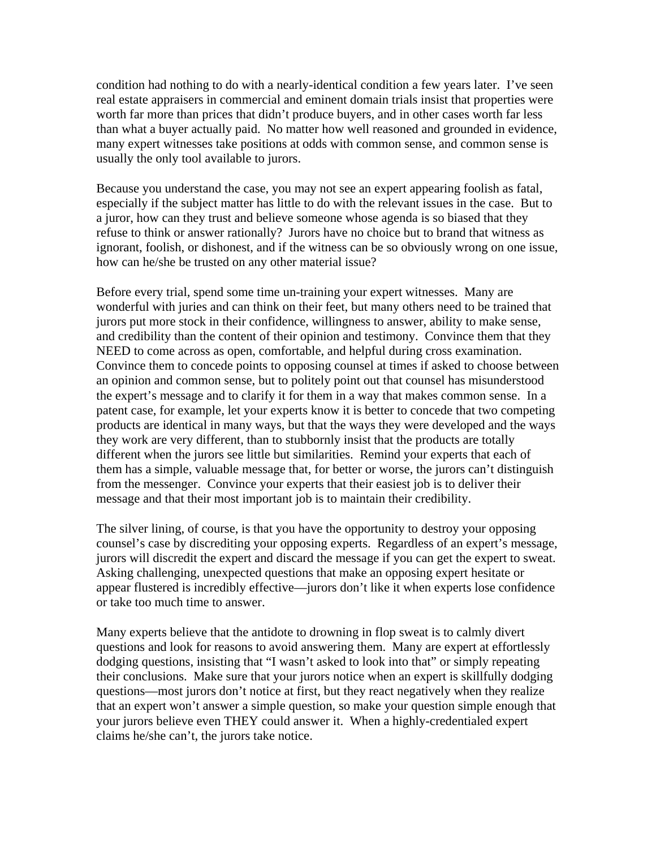condition had nothing to do with a nearly-identical condition a few years later. I've seen real estate appraisers in commercial and eminent domain trials insist that properties were worth far more than prices that didn't produce buyers, and in other cases worth far less than what a buyer actually paid. No matter how well reasoned and grounded in evidence, many expert witnesses take positions at odds with common sense, and common sense is usually the only tool available to jurors.

Because you understand the case, you may not see an expert appearing foolish as fatal, especially if the subject matter has little to do with the relevant issues in the case. But to a juror, how can they trust and believe someone whose agenda is so biased that they refuse to think or answer rationally? Jurors have no choice but to brand that witness as ignorant, foolish, or dishonest, and if the witness can be so obviously wrong on one issue, how can he/she be trusted on any other material issue?

Before every trial, spend some time un-training your expert witnesses. Many are wonderful with juries and can think on their feet, but many others need to be trained that jurors put more stock in their confidence, willingness to answer, ability to make sense, and credibility than the content of their opinion and testimony. Convince them that they NEED to come across as open, comfortable, and helpful during cross examination. Convince them to concede points to opposing counsel at times if asked to choose between an opinion and common sense, but to politely point out that counsel has misunderstood the expert's message and to clarify it for them in a way that makes common sense. In a patent case, for example, let your experts know it is better to concede that two competing products are identical in many ways, but that the ways they were developed and the ways they work are very different, than to stubbornly insist that the products are totally different when the jurors see little but similarities. Remind your experts that each of them has a simple, valuable message that, for better or worse, the jurors can't distinguish from the messenger. Convince your experts that their easiest job is to deliver their message and that their most important job is to maintain their credibility.

The silver lining, of course, is that you have the opportunity to destroy your opposing counsel's case by discrediting your opposing experts. Regardless of an expert's message, jurors will discredit the expert and discard the message if you can get the expert to sweat. Asking challenging, unexpected questions that make an opposing expert hesitate or appear flustered is incredibly effective—jurors don't like it when experts lose confidence or take too much time to answer.

Many experts believe that the antidote to drowning in flop sweat is to calmly divert questions and look for reasons to avoid answering them. Many are expert at effortlessly dodging questions, insisting that "I wasn't asked to look into that" or simply repeating their conclusions. Make sure that your jurors notice when an expert is skillfully dodging questions—most jurors don't notice at first, but they react negatively when they realize that an expert won't answer a simple question, so make your question simple enough that your jurors believe even THEY could answer it. When a highly-credentialed expert claims he/she can't, the jurors take notice.